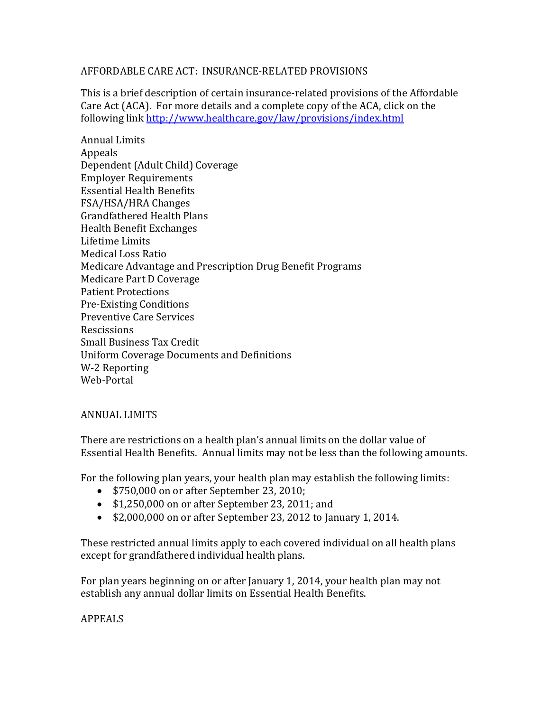### AFFORDABLE CARE ACT: INSURANCE-RELATED PROVISIONS

This is a brief description of certain insurance-related provisions of the Affordable Care Act (ACA). For more details and a complete copy of the ACA, click on the following link<http://www.healthcare.gov/law/provisions/index.html>

Annual Limits Appeals Dependent (Adult Child) Coverage Employer Requirements Essential Health Benefits FSA/HSA/HRA Changes Grandfathered Health Plans Health Benefit Exchanges Lifetime Limits Medical Loss Ratio Medicare Advantage and Prescription Drug Benefit Programs Medicare Part D Coverage Patient Protections Pre-Existing Conditions Preventive Care Services Rescissions Small Business Tax Credit Uniform Coverage Documents and Definitions W-2 Reporting Web-Portal

### ANNUAL LIMITS

There are restrictions on a health plan's annual limits on the dollar value of Essential Health Benefits. Annual limits may not be less than the following amounts.

For the following plan years, your health plan may establish the following limits:

- \$750,000 on or after September 23, 2010;
- \$1,250,000 on or after September 23, 2011; and
- $\bullet$  \$2,000,000 on or after September 23, 2012 to January 1, 2014.

These restricted annual limits apply to each covered individual on all health plans except for grandfathered individual health plans.

For plan years beginning on or after January 1, 2014, your health plan may not establish any annual dollar limits on Essential Health Benefits.

# APPEALS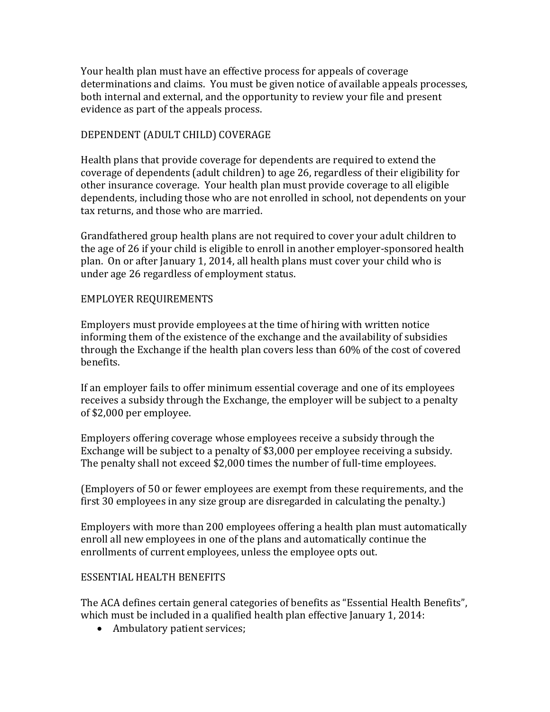Your health plan must have an effective process for appeals of coverage determinations and claims. You must be given notice of available appeals processes, both internal and external, and the opportunity to review your file and present evidence as part of the appeals process.

### DEPENDENT (ADULT CHILD) COVERAGE

Health plans that provide coverage for dependents are required to extend the coverage of dependents (adult children) to age 26, regardless of their eligibility for other insurance coverage. Your health plan must provide coverage to all eligible dependents, including those who are not enrolled in school, not dependents on your tax returns, and those who are married.

Grandfathered group health plans are not required to cover your adult children to the age of 26 if your child is eligible to enroll in another employer-sponsored health plan. On or after January 1, 2014, all health plans must cover your child who is under age 26 regardless of employment status.

### EMPLOYER REQUIREMENTS

Employers must provide employees at the time of hiring with written notice informing them of the existence of the exchange and the availability of subsidies through the Exchange if the health plan covers less than 60% of the cost of covered benefits.

If an employer fails to offer minimum essential coverage and one of its employees receives a subsidy through the Exchange, the employer will be subject to a penalty of \$2,000 per employee.

Employers offering coverage whose employees receive a subsidy through the Exchange will be subject to a penalty of \$3,000 per employee receiving a subsidy. The penalty shall not exceed \$2,000 times the number of full-time employees.

(Employers of 50 or fewer employees are exempt from these requirements, and the first 30 employees in any size group are disregarded in calculating the penalty.)

Employers with more than 200 employees offering a health plan must automatically enroll all new employees in one of the plans and automatically continue the enrollments of current employees, unless the employee opts out.

### ESSENTIAL HEALTH BENEFITS

The ACA defines certain general categories of benefits as "Essential Health Benefits", which must be included in a qualified health plan effective January 1, 2014:

• Ambulatory patient services;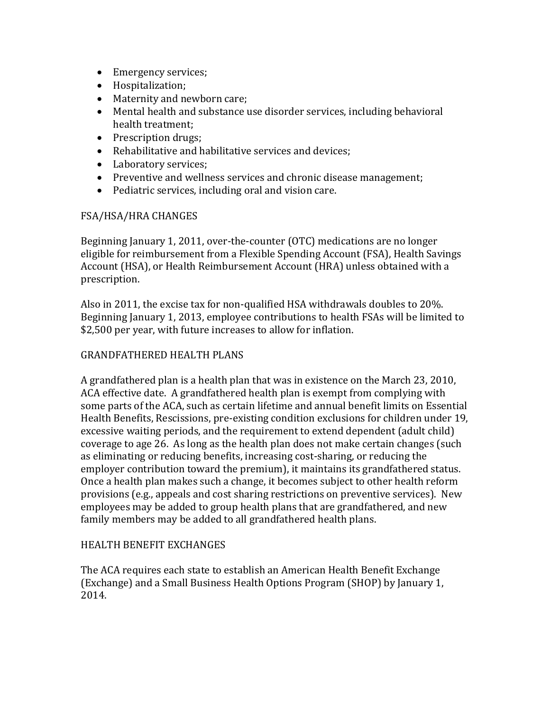- Emergency services;
- Hospitalization;
- Maternity and newborn care;
- Mental health and substance use disorder services, including behavioral health treatment;
- Prescription drugs;
- Rehabilitative and habilitative services and devices;
- Laboratory services;
- Preventive and wellness services and chronic disease management;
- Pediatric services, including oral and vision care.

### FSA/HSA/HRA CHANGES

Beginning January 1, 2011, over-the-counter (OTC) medications are no longer eligible for reimbursement from a Flexible Spending Account (FSA), Health Savings Account (HSA), or Health Reimbursement Account (HRA) unless obtained with a prescription.

Also in 2011, the excise tax for non-qualified HSA withdrawals doubles to 20%. Beginning January 1, 2013, employee contributions to health FSAs will be limited to \$2,500 per year, with future increases to allow for inflation.

### GRANDFATHERED HEALTH PLANS

A grandfathered plan is a health plan that was in existence on the March 23, 2010, ACA effective date. A grandfathered health plan is exempt from complying with some parts of the ACA, such as certain lifetime and annual benefit limits on Essential Health Benefits, Rescissions, pre-existing condition exclusions for children under 19, excessive waiting periods, and the requirement to extend dependent (adult child) coverage to age 26. As long as the health plan does not make certain changes (such as eliminating or reducing benefits, increasing cost-sharing, or reducing the employer contribution toward the premium), it maintains its grandfathered status. Once a health plan makes such a change, it becomes subject to other health reform provisions (e.g., appeals and cost sharing restrictions on preventive services). New employees may be added to group health plans that are grandfathered, and new family members may be added to all grandfathered health plans.

### HEALTH BENEFIT EXCHANGES

The ACA requires each state to establish an American Health Benefit Exchange (Exchange) and a Small Business Health Options Program (SHOP) by January 1, 2014.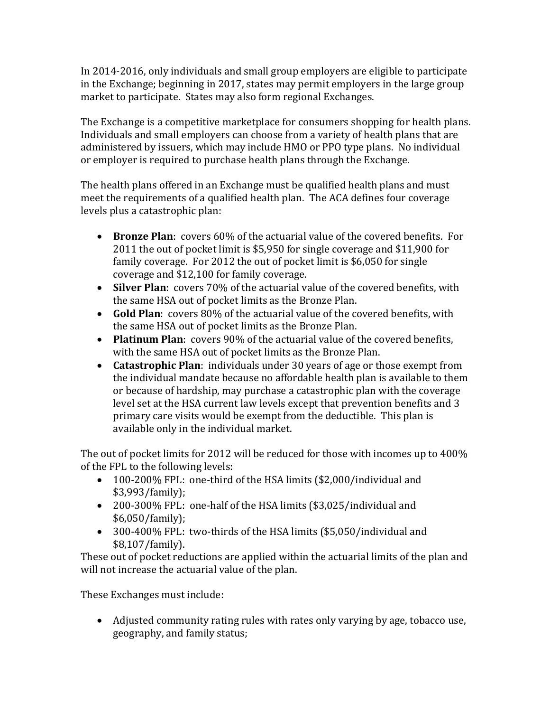In 2014-2016, only individuals and small group employers are eligible to participate in the Exchange; beginning in 2017, states may permit employers in the large group market to participate. States may also form regional Exchanges.

The Exchange is a competitive marketplace for consumers shopping for health plans. Individuals and small employers can choose from a variety of health plans that are administered by issuers, which may include HMO or PPO type plans. No individual or employer is required to purchase health plans through the Exchange.

The health plans offered in an Exchange must be qualified health plans and must meet the requirements of a qualified health plan. The ACA defines four coverage levels plus a catastrophic plan:

- **Bronze Plan**: covers 60% of the actuarial value of the covered benefits. For 2011 the out of pocket limit is \$5,950 for single coverage and \$11,900 for family coverage. For 2012 the out of pocket limit is \$6,050 for single coverage and \$12,100 for family coverage.
- **Silver Plan**: covers 70% of the actuarial value of the covered benefits, with the same HSA out of pocket limits as the Bronze Plan.
- **Gold Plan**: covers 80% of the actuarial value of the covered benefits, with the same HSA out of pocket limits as the Bronze Plan.
- **Platinum Plan**: covers 90% of the actuarial value of the covered benefits, with the same HSA out of pocket limits as the Bronze Plan.
- **Catastrophic Plan**: individuals under 30 years of age or those exempt from the individual mandate because no affordable health plan is available to them or because of hardship, may purchase a catastrophic plan with the coverage level set at the HSA current law levels except that prevention benefits and 3 primary care visits would be exempt from the deductible. This plan is available only in the individual market.

The out of pocket limits for 2012 will be reduced for those with incomes up to 400% of the FPL to the following levels:

- 100-200% FPL: one-third of the HSA limits (\$2,000/individual and \$3,993/family);
- 200-300% FPL: one-half of the HSA limits (\$3,025/individual and \$6,050/family);
- 300-400% FPL: two-thirds of the HSA limits (\$5,050/individual and \$8,107/family).

These out of pocket reductions are applied within the actuarial limits of the plan and will not increase the actuarial value of the plan.

These Exchanges must include:

 Adjusted community rating rules with rates only varying by age, tobacco use, geography, and family status;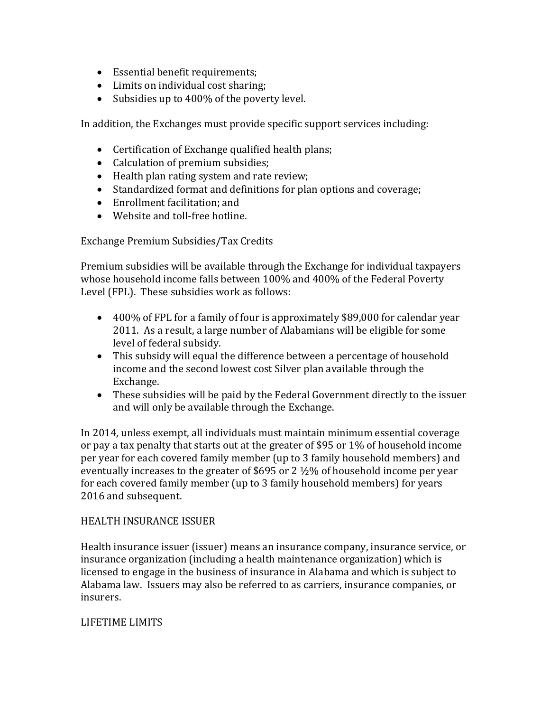- Essential benefit requirements;
- Limits on individual cost sharing;
- Subsidies up to 400% of the poverty level.

In addition, the Exchanges must provide specific support services including:

- Certification of Exchange qualified health plans;
- Calculation of premium subsidies;
- Health plan rating system and rate review;
- Standardized format and definitions for plan options and coverage;
- Enrollment facilitation; and
- Website and toll-free hotline.

Exchange Premium Subsidies/Tax Credits

Premium subsidies will be available through the Exchange for individual taxpayers whose household income falls between 100% and 400% of the Federal Poverty Level (FPL). These subsidies work as follows:

- 400% of FPL for a family of four is approximately \$89,000 for calendar year 2011. As a result, a large number of Alabamians will be eligible for some level of federal subsidy.
- This subsidy will equal the difference between a percentage of household income and the second lowest cost Silver plan available through the Exchange.
- These subsidies will be paid by the Federal Government directly to the issuer and will only be available through the Exchange.

In 2014, unless exempt, all individuals must maintain minimum essential coverage or pay a tax penalty that starts out at the greater of \$95 or 1% of household income per year for each covered family member (up to 3 family household members) and eventually increases to the greater of \$695 or 2 ½% of household income per year for each covered family member (up to 3 family household members) for years 2016 and subsequent.

### HEALTH INSURANCE ISSUER

Health insurance issuer (issuer) means an insurance company, insurance service, or insurance organization (including a health maintenance organization) which is licensed to engage in the business of insurance in Alabama and which is subject to Alabama law. Issuers may also be referred to as carriers, insurance companies, or insurers.

### LIFETIME LIMITS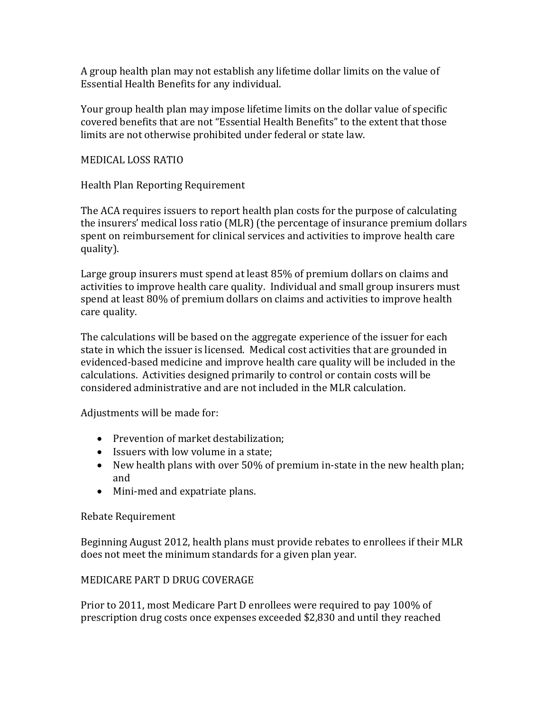A group health plan may not establish any lifetime dollar limits on the value of Essential Health Benefits for any individual.

Your group health plan may impose lifetime limits on the dollar value of specific covered benefits that are not "Essential Health Benefits" to the extent that those limits are not otherwise prohibited under federal or state law.

### MEDICAL LOSS RATIO

Health Plan Reporting Requirement

The ACA requires issuers to report health plan costs for the purpose of calculating the insurers' medical loss ratio (MLR) (the percentage of insurance premium dollars spent on reimbursement for clinical services and activities to improve health care quality).

Large group insurers must spend at least 85% of premium dollars on claims and activities to improve health care quality. Individual and small group insurers must spend at least 80% of premium dollars on claims and activities to improve health care quality.

The calculations will be based on the aggregate experience of the issuer for each state in which the issuer is licensed. Medical cost activities that are grounded in evidenced-based medicine and improve health care quality will be included in the calculations. Activities designed primarily to control or contain costs will be considered administrative and are not included in the MLR calculation.

Adjustments will be made for:

- Prevention of market destabilization;
- Issuers with low volume in a state:
- New health plans with over 50% of premium in-state in the new health plan; and
- Mini-med and expatriate plans.

# Rebate Requirement

Beginning August 2012, health plans must provide rebates to enrollees if their MLR does not meet the minimum standards for a given plan year.

# MEDICARE PART D DRUG COVERAGE

Prior to 2011, most Medicare Part D enrollees were required to pay 100% of prescription drug costs once expenses exceeded \$2,830 and until they reached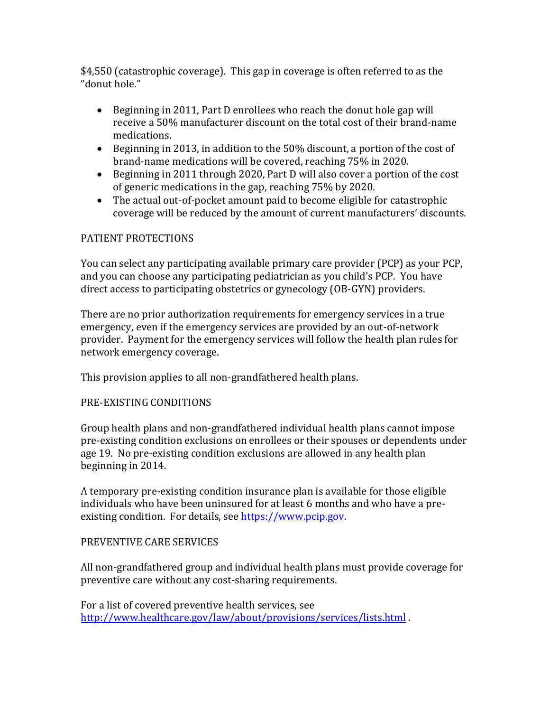\$4,550 (catastrophic coverage). This gap in coverage is often referred to as the "donut hole."

- Beginning in 2011, Part D enrollees who reach the donut hole gap will receive a 50% manufacturer discount on the total cost of their brand-name medications.
- Beginning in 2013, in addition to the 50% discount, a portion of the cost of brand-name medications will be covered, reaching 75% in 2020.
- Beginning in 2011 through 2020, Part D will also cover a portion of the cost of generic medications in the gap, reaching 75% by 2020.
- The actual out-of-pocket amount paid to become eligible for catastrophic coverage will be reduced by the amount of current manufacturers' discounts.

### PATIENT PROTECTIONS

You can select any participating available primary care provider (PCP) as your PCP, and you can choose any participating pediatrician as you child's PCP. You have direct access to participating obstetrics or gynecology (OB-GYN) providers.

There are no prior authorization requirements for emergency services in a true emergency, even if the emergency services are provided by an out-of-network provider. Payment for the emergency services will follow the health plan rules for network emergency coverage.

This provision applies to all non-grandfathered health plans.

### PRE-EXISTING CONDITIONS

Group health plans and non-grandfathered individual health plans cannot impose pre-existing condition exclusions on enrollees or their spouses or dependents under age 19. No pre-existing condition exclusions are allowed in any health plan beginning in 2014.

A temporary pre-existing condition insurance plan is available for those eligible individuals who have been uninsured for at least 6 months and who have a preexisting condition. For details, see [https://www.pcip.gov.](https://www.pcip.gov/)

# PREVENTIVE CARE SERVICES

All non-grandfathered group and individual health plans must provide coverage for preventive care without any cost-sharing requirements.

For a list of covered preventive health services, see <http://www.healthcare.gov/law/about/provisions/services/lists.html> .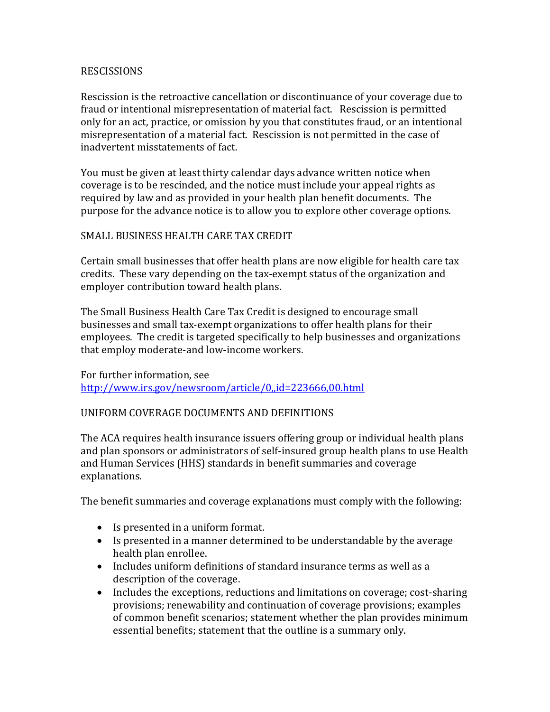#### RESCISSIONS

Rescission is the retroactive cancellation or discontinuance of your coverage due to fraud or intentional misrepresentation of material fact. Rescission is permitted only for an act, practice, or omission by you that constitutes fraud, or an intentional misrepresentation of a material fact. Rescission is not permitted in the case of inadvertent misstatements of fact.

You must be given at least thirty calendar days advance written notice when coverage is to be rescinded, and the notice must include your appeal rights as required by law and as provided in your health plan benefit documents. The purpose for the advance notice is to allow you to explore other coverage options.

### SMALL BUSINESS HEALTH CARE TAX CREDIT

Certain small businesses that offer health plans are now eligible for health care tax credits. These vary depending on the tax-exempt status of the organization and employer contribution toward health plans.

The Small Business Health Care Tax Credit is designed to encourage small businesses and small tax-exempt organizations to offer health plans for their employees. The credit is targeted specifically to help businesses and organizations that employ moderate-and low-income workers.

For further information, see <http://www.irs.gov/newsroom/article/0,,id=223666,00.html>

### UNIFORM COVERAGE DOCUMENTS AND DEFINITIONS

The ACA requires health insurance issuers offering group or individual health plans and plan sponsors or administrators of self-insured group health plans to use Health and Human Services (HHS) standards in benefit summaries and coverage explanations.

The benefit summaries and coverage explanations must comply with the following:

- Is presented in a uniform format.
- Is presented in a manner determined to be understandable by the average health plan enrollee.
- Includes uniform definitions of standard insurance terms as well as a description of the coverage.
- Includes the exceptions, reductions and limitations on coverage; cost-sharing provisions; renewability and continuation of coverage provisions; examples of common benefit scenarios; statement whether the plan provides minimum essential benefits; statement that the outline is a summary only.